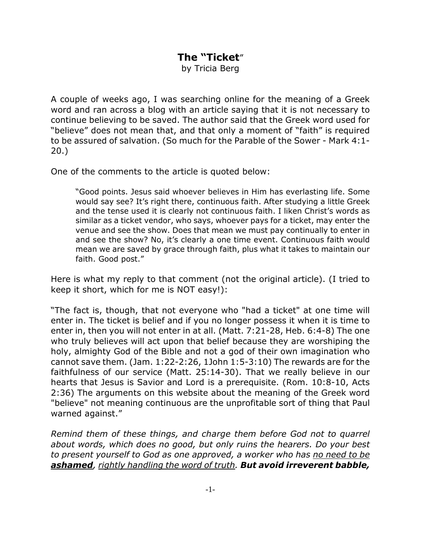## **The "Ticket**"

by Tricia Berg

A couple of weeks ago, I was searching online for the meaning of a Greek word and ran across a blog with an article saying that it is not necessary to continue believing to be saved. The author said that the Greek word used for "believe" does not mean that, and that only a moment of "faith" is required to be assured of salvation. (So much for the Parable of the Sower - Mark 4:1- 20.)

One of the comments to the article is quoted below:

"Good points. Jesus said whoever believes in Him has everlasting life. Some would say see? It's right there, continuous faith. After studying a little Greek and the tense used it is clearly not continuous faith. I liken Christ's words as similar as a ticket vendor, who says, whoever pays for a ticket, may enter the venue and see the show. Does that mean we must pay continually to enter in and see the show? No, it's clearly a one time event. Continuous faith would mean we are saved by grace through faith, plus what it takes to maintain our faith. Good post."

Here is what my reply to that comment (not the original article). (I tried to keep it short, which for me is NOT easy!):

"The fact is, though, that not everyone who "had a ticket" at one time will enter in. The ticket is belief and if you no longer possess it when it is time to enter in, then you will not enter in at all. (Matt. 7:21-28, Heb. 6:4-8) The one who truly believes will act upon that belief because they are worshiping the holy, almighty God of the Bible and not a god of their own imagination who cannot save them. (Jam. 1:22-2:26, 1John 1:5-3:10) The rewards are for the faithfulness of our service (Matt. 25:14-30). That we really believe in our hearts that Jesus is Savior and Lord is a prerequisite. (Rom. 10:8-10, Acts 2:36) The arguments on this website about the meaning of the Greek word "believe" not meaning continuous are the unprofitable sort of thing that Paul warned against."

*Remind them of these things, and charge them before God not to quarrel about words, which does no good, but only ruins the hearers. Do your best to present yourself to God as one approved, a worker who has no need to be ashamed, rightly handling the word of truth. But avoid irreverent babble,*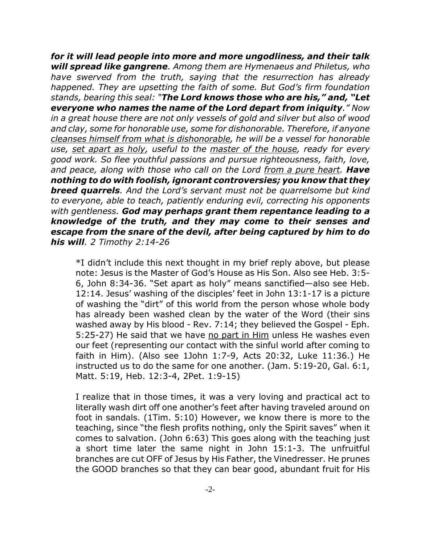*for it will lead people into more and more ungodliness, and their talk will spread like gangrene. Among them are Hymenaeus and Philetus, who have swerved from the truth, saying that the resurrection has already happened. They are upsetting the faith of some. But God's firm foundation stands, bearing this seal: "The Lord knows those who are his," and, "Let everyone who names the name of the Lord depart from iniquity." Now in a great house there are not only vessels of gold and silver but also of wood and clay, some for honorable use, some for dishonorable. Therefore, if anyone cleanses himself from what is dishonorable, he will be a vessel for honorable use, set apart as holy, useful to the master of the house, ready for every good work. So flee youthful passions and pursue righteousness, faith, love, and peace, along with those who call on the Lord from a pure heart. Have nothing to do with foolish, ignorant controversies; you know that they breed quarrels. And the Lord's servant must not be quarrelsome but kind to everyone, able to teach, patiently enduring evil, correcting his opponents with gentleness. God may perhaps grant them repentance leading to a knowledge of the truth, and they may come to their senses and escape from the snare of the devil, after being captured by him to do his will. 2 Timothy 2:14-26*

\*I didn't include this next thought in my brief reply above, but please note: Jesus is the Master of God's House as His Son. Also see Heb. 3:5- 6, John 8:34-36. "Set apart as holy" means sanctified—also see Heb. 12:14. Jesus' washing of the disciples' feet in John 13:1-17 is a picture of washing the "dirt" of this world from the person whose whole body has already been washed clean by the water of the Word (their sins washed away by His blood - Rev. 7:14; they believed the Gospel - Eph. 5:25-27) He said that we have no part in Him unless He washes even our feet (representing our contact with the sinful world after coming to faith in Him). (Also see 1John 1:7-9, Acts 20:32, Luke 11:36.) He instructed us to do the same for one another. (Jam. 5:19-20, Gal. 6:1, Matt. 5:19, Heb. 12:3-4, 2Pet. 1:9-15)

I realize that in those times, it was a very loving and practical act to literally wash dirt off one another's feet after having traveled around on foot in sandals. (1Tim. 5:10) However, we know there is more to the teaching, since "the flesh profits nothing, only the Spirit saves" when it comes to salvation. (John 6:63) This goes along with the teaching just a short time later the same night in John 15:1-3. The unfruitful branches are cut OFF of Jesus by His Father, the Vinedresser. He prunes the GOOD branches so that they can bear good, abundant fruit for His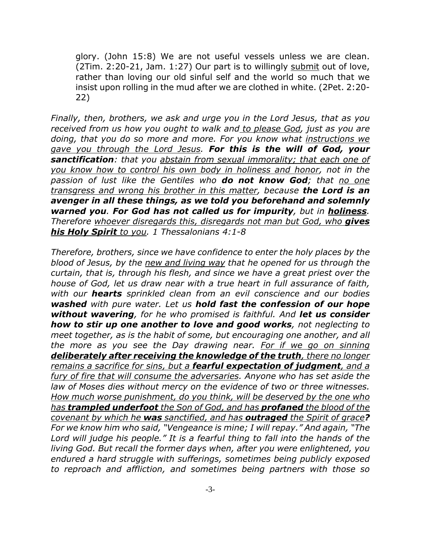glory. (John 15:8) We are not useful vessels unless we are clean. (2Tim. 2:20-21, Jam. 1:27) Our part is to willingly submit out of love, rather than loving our old sinful self and the world so much that we insist upon rolling in the mud after we are clothed in white. (2Pet. 2:20- 22)

*Finally, then, brothers, we ask and urge you in the Lord Jesus, that as you received from us how you ought to walk and to please God, just as you are doing, that you do so more and more. For you know what instructions we gave you through the Lord Jesus. For this is the will of God, your sanctification: that you abstain from sexual immorality; that each one of you know how to control his own body in holiness and honor, not in the passion of lust like the Gentiles who do not know God; that no one transgress and wrong his brother in this matter, because the Lord is an avenger in all these things, as we told you beforehand and solemnly warned you. For God has not called us for impurity, but in holiness. Therefore whoever disregards this, disregards not man but God, who gives his Holy Spirit to you. 1 Thessalonians 4:1-8*

*Therefore, brothers, since we have confidence to enter the holy places by the blood of Jesus, by the new and living way that he opened for us through the curtain, that is, through his flesh, and since we have a great priest over the house of God, let us draw near with a true heart in full assurance of faith, with our hearts sprinkled clean from an evil conscience and our bodies washed with pure water. Let us hold fast the confession of our hope without wavering, for he who promised is faithful. And let us consider how to stir up one another to love and good works, not neglecting to meet together, as is the habit of some, but encouraging one another, and all the more as you see the Day drawing near. For if we go on sinning deliberately after receiving the knowledge of the truth, there no longer remains a sacrifice for sins, but a fearful expectation of judgment, and a fury of fire that will consume the adversaries. Anyone who has set aside the law of Moses dies without mercy on the evidence of two or three witnesses. How much worse punishment, do you think, will be deserved by the one who has trampled underfoot the Son of God, and has profaned the blood of the covenant by which he was sanctified, and has outraged the Spirit of grace? For we know him who said, "Vengeance is mine; I will repay." And again, "The Lord will judge his people." It is a fearful thing to fall into the hands of the living God. But recall the former days when, after you were enlightened, you endured a hard struggle with sufferings, sometimes being publicly exposed to reproach and affliction, and sometimes being partners with those so*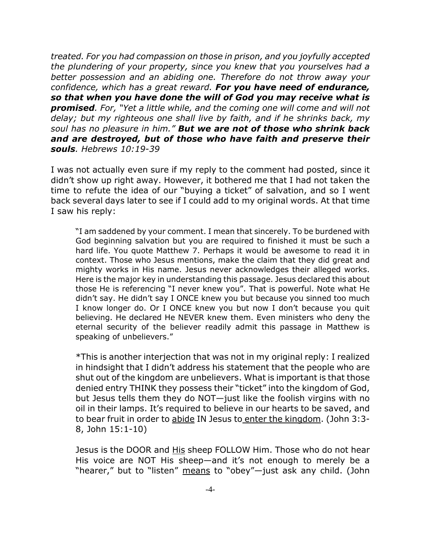*treated. For you had compassion on those in prison, and you joyfully accepted the plundering of your property, since you knew that you yourselves had a better possession and an abiding one. Therefore do not throw away your confidence, which has a great reward. For you have need of endurance, so that when you have done the will of God you may receive what is promised. For, "Yet a little while, and the coming one will come and will not delay; but my righteous one shall live by faith, and if he shrinks back, my soul has no pleasure in him." But we are not of those who shrink back and are destroyed, but of those who have faith and preserve their souls. Hebrews 10:19-39*

I was not actually even sure if my reply to the comment had posted, since it didn't show up right away. However, it bothered me that I had not taken the time to refute the idea of our "buying a ticket" of salvation, and so I went back several days later to see if I could add to my original words. At that time I saw his reply:

"I am saddened by your comment. I mean that sincerely. To be burdened with God beginning salvation but you are required to finished it must be such a hard life. You quote Matthew 7. Perhaps it would be awesome to read it in context. Those who Jesus mentions, make the claim that they did great and mighty works in His name. Jesus never acknowledges their alleged works. Here is the major key in understanding this passage. Jesus declared this about those He is referencing "I never knew you". That is powerful. Note what He didn't say. He didn't say I ONCE knew you but because you sinned too much I know longer do. Or I ONCE knew you but now I don't because you quit believing. He declared He NEVER knew them. Even ministers who deny the eternal security of the believer readily admit this passage in Matthew is speaking of unbelievers."

\*This is another interjection that was not in my original reply: I realized in hindsight that I didn't address his statement that the people who are shut out of the kingdom are unbelievers. What is important is that those denied entry THINK they possess their "ticket" into the kingdom of God, but Jesus tells them they do NOT—just like the foolish virgins with no oil in their lamps. It's required to believe in our hearts to be saved, and to bear fruit in order to abide IN Jesus to enter the kingdom. (John 3:3- 8, John 15:1-10)

Jesus is the DOOR and His sheep FOLLOW Him. Those who do not hear His voice are NOT His sheep—and it's not enough to merely be a "hearer," but to "listen" means to "obey"-just ask any child. (John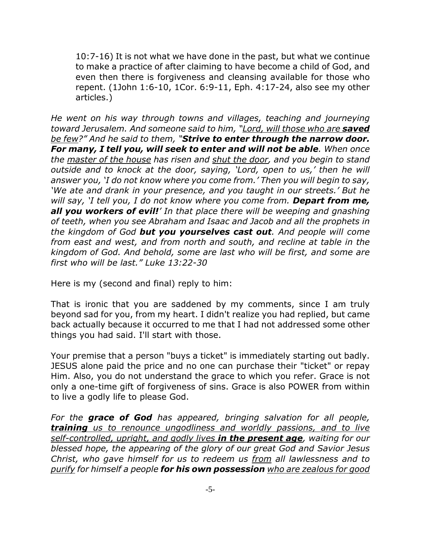10:7-16) It is not what we have done in the past, but what we continue to make a practice of after claiming to have become a child of God, and even then there is forgiveness and cleansing available for those who repent. (1John 1:6-10, 1Cor. 6:9-11, Eph. 4:17-24, also see my other articles.)

*He went on his way through towns and villages, teaching and journeying toward Jerusalem. And someone said to him, "Lord, will those who are saved be few?" And he said to them, "Strive to enter through the narrow door. For many, I tell you, will seek to enter and will not be able. When once the master of the house has risen and shut the door, and you begin to stand outside and to knock at the door, saying, 'Lord, open to us,' then he will answer you, 'I do not know where you come from.' Then you will begin to say, 'We ate and drank in your presence, and you taught in our streets.' But he will say, 'I tell you, I do not know where you come from. Depart from me, all you workers of evil!' In that place there will be weeping and gnashing of teeth, when you see Abraham and Isaac and Jacob and all the prophets in the kingdom of God but you yourselves cast out. And people will come from east and west, and from north and south, and recline at table in the kingdom of God. And behold, some are last who will be first, and some are first who will be last." Luke 13:22-30*

Here is my (second and final) reply to him:

That is ironic that you are saddened by my comments, since I am truly beyond sad for you, from my heart. I didn't realize you had replied, but came back actually because it occurred to me that I had not addressed some other things you had said. I'll start with those.

Your premise that a person "buys a ticket" is immediately starting out badly. JESUS alone paid the price and no one can purchase their "ticket" or repay Him. Also, you do not understand the grace to which you refer. Grace is not only a one-time gift of forgiveness of sins. Grace is also POWER from within to live a godly life to please God.

*For the grace of God has appeared, bringing salvation for all people, training us to renounce ungodliness and worldly passions, and to live self-controlled, upright, and godly lives in the present age, waiting for our blessed hope, the appearing of the glory of our great God and Savior Jesus Christ, who gave himself for us to redeem us from all lawlessness and to purify for himself a people for his own possession who are zealous for good*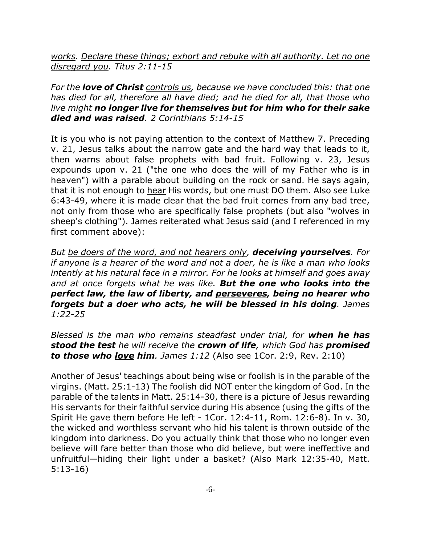*works. Declare these things; exhort and rebuke with all authority. Let no one disregard you. Titus 2:11-15* 

*For the love of Christ controls us, because we have concluded this: that one has died for all, therefore all have died; and he died for all, that those who live might no longer live for themselves but for him who for their sake died and was raised. 2 Corinthians 5:14-15*

It is you who is not paying attention to the context of Matthew 7. Preceding v. 21, Jesus talks about the narrow gate and the hard way that leads to it, then warns about false prophets with bad fruit. Following v. 23, Jesus expounds upon v. 21 ("the one who does the will of my Father who is in heaven") with a parable about building on the rock or sand. He says again, that it is not enough to hear His words, but one must DO them. Also see Luke 6:43-49, where it is made clear that the bad fruit comes from any bad tree, not only from those who are specifically false prophets (but also "wolves in sheep's clothing"). James reiterated what Jesus said (and I referenced in my first comment above):

*But be doers of the word, and not hearers only, deceiving yourselves. For if anyone is a hearer of the word and not a doer, he is like a man who looks intently at his natural face in a mirror. For he looks at himself and goes away and at once forgets what he was like. But the one who looks into the perfect law, the law of liberty, and perseveres, being no hearer who forgets but a doer who acts, he will be blessed in his doing. James 1:22-25*

*Blessed is the man who remains steadfast under trial, for when he has stood the test he will receive the crown of life, which God has promised to those who love him. James 1:12* (Also see 1Cor. 2:9, Rev. 2:10)

Another of Jesus' teachings about being wise or foolish is in the parable of the virgins. (Matt. 25:1-13) The foolish did NOT enter the kingdom of God. In the parable of the talents in Matt. 25:14-30, there is a picture of Jesus rewarding His servants for their faithful service during His absence (using the gifts of the Spirit He gave them before He left - 1Cor. 12:4-11, Rom. 12:6-8). In v. 30, the wicked and worthless servant who hid his talent is thrown outside of the kingdom into darkness. Do you actually think that those who no longer even believe will fare better than those who did believe, but were ineffective and unfruitful—hiding their light under a basket? (Also Mark 12:35-40, Matt. 5:13-16)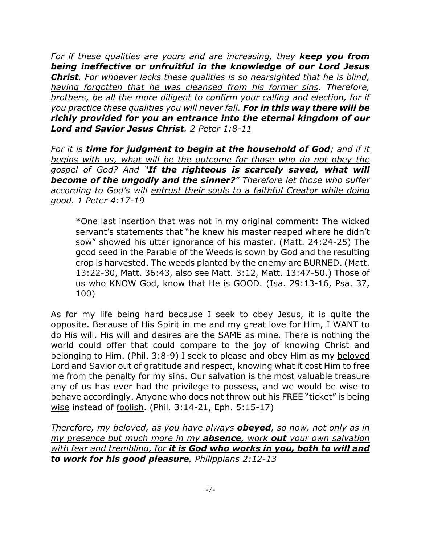*For if these qualities are yours and are increasing, they keep you from being ineffective or unfruitful in the knowledge of our Lord Jesus Christ. For whoever lacks these qualities is so nearsighted that he is blind, having forgotten that he was cleansed from his former sins. Therefore, brothers, be all the more diligent to confirm your calling and election, for if you practice these qualities you will never fall. For in this way there will be richly provided for you an entrance into the eternal kingdom of our Lord and Savior Jesus Christ. 2 Peter 1:8-11*

*For it is time for judgment to begin at the household of God; and if it begins with us, what will be the outcome for those who do not obey the gospel of God? And "If the righteous is scarcely saved, what will become of the ungodly and the sinner?" Therefore let those who suffer according to God's will entrust their souls to a faithful Creator while doing good. 1 Peter 4:17-19*

\*One last insertion that was not in my original comment: The wicked servant's statements that "he knew his master reaped where he didn't sow" showed his utter ignorance of his master. (Matt. 24:24-25) The good seed in the Parable of the Weeds is sown by God and the resulting crop is harvested. The weeds planted by the enemy are BURNED. (Matt. 13:22-30, Matt. 36:43, also see Matt. 3:12, Matt. 13:47-50.) Those of us who KNOW God, know that He is GOOD. (Isa. 29:13-16, Psa. 37, 100)

As for my life being hard because I seek to obey Jesus, it is quite the opposite. Because of His Spirit in me and my great love for Him, I WANT to do His will. His will and desires are the SAME as mine. There is nothing the world could offer that could compare to the joy of knowing Christ and belonging to Him. (Phil. 3:8-9) I seek to please and obey Him as my beloved Lord and Savior out of gratitude and respect, knowing what it cost Him to free me from the penalty for my sins. Our salvation is the most valuable treasure any of us has ever had the privilege to possess, and we would be wise to behave accordingly. Anyone who does not throw out his FREE "ticket" is being wise instead of foolish. (Phil. 3:14-21, Eph. 5:15-17)

*Therefore, my beloved, as you have always obeyed, so now, not only as in my presence but much more in my absence, work out your own salvation with fear and trembling, for it is God who works in you, both to will and to work for his good pleasure. Philippians 2:12-13*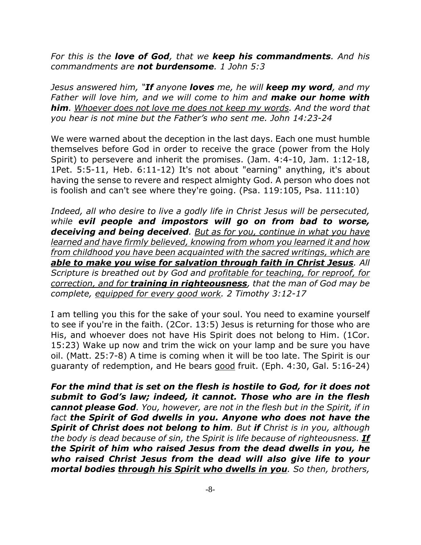*For this is the love of God, that we keep his commandments. And his commandments are not burdensome. 1 John 5:3*

*Jesus answered him, "If anyone loves me, he will keep my word, and my Father will love him, and we will come to him and make our home with him. Whoever does not love me does not keep my words. And the word that you hear is not mine but the Father's who sent me. John 14:23-24*

We were warned about the deception in the last days. Each one must humble themselves before God in order to receive the grace (power from the Holy Spirit) to persevere and inherit the promises. (Jam. 4:4-10, Jam. 1:12-18, 1Pet. 5:5-11, Heb. 6:11-12) It's not about "earning" anything, it's about having the sense to revere and respect almighty God. A person who does not is foolish and can't see where they're going. (Psa. 119:105, Psa. 111:10)

*Indeed, all who desire to live a godly life in Christ Jesus will be persecuted, while evil people and impostors will go on from bad to worse, deceiving and being deceived. But as for you, continue in what you have learned and have firmly believed, knowing from whom you learned it and how from childhood you have been acquainted with the sacred writings, which are able to make you wise for salvation through faith in Christ Jesus. All Scripture is breathed out by God and profitable for teaching, for reproof, for correction, and for training in righteousness, that the man of God may be complete, equipped for every good work. 2 Timothy 3:12-17*

I am telling you this for the sake of your soul. You need to examine yourself to see if you're in the faith. (2Cor. 13:5) Jesus is returning for those who are His, and whoever does not have His Spirit does not belong to Him. (1Cor. 15:23) Wake up now and trim the wick on your lamp and be sure you have oil. (Matt. 25:7-8) A time is coming when it will be too late. The Spirit is our guaranty of redemption, and He bears good fruit. (Eph. 4:30, Gal. 5:16-24)

*For the mind that is set on the flesh is hostile to God, for it does not submit to God's law; indeed, it cannot. Those who are in the flesh cannot please God. You, however, are not in the flesh but in the Spirit, if in fact the Spirit of God dwells in you. Anyone who does not have the Spirit of Christ does not belong to him. But if Christ is in you, although the body is dead because of sin, the Spirit is life because of righteousness. If the Spirit of him who raised Jesus from the dead dwells in you, he who raised Christ Jesus from the dead will also give life to your mortal bodies through his Spirit who dwells in you. So then, brothers,*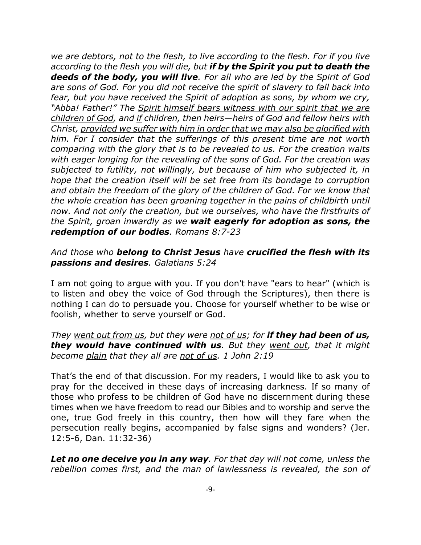*we are debtors, not to the flesh, to live according to the flesh. For if you live according to the flesh you will die, but if by the Spirit you put to death the deeds of the body, you will live. For all who are led by the Spirit of God are sons of God. For you did not receive the spirit of slavery to fall back into fear, but you have received the Spirit of adoption as sons, by whom we cry, "Abba! Father!" The Spirit himself bears witness with our spirit that we are children of God, and if children, then heirs—heirs of God and fellow heirs with Christ, provided we suffer with him in order that we may also be glorified with him. For I consider that the sufferings of this present time are not worth comparing with the glory that is to be revealed to us. For the creation waits with eager longing for the revealing of the sons of God. For the creation was subjected to futility, not willingly, but because of him who subjected it, in hope that the creation itself will be set free from its bondage to corruption and obtain the freedom of the glory of the children of God. For we know that the whole creation has been groaning together in the pains of childbirth until now. And not only the creation, but we ourselves, who have the firstfruits of the Spirit, groan inwardly as we wait eagerly for adoption as sons, the redemption of our bodies. Romans 8:7-23* 

## *And those who belong to Christ Jesus have crucified the flesh with its passions and desires. Galatians 5:24*

I am not going to argue with you. If you don't have "ears to hear" (which is to listen and obey the voice of God through the Scriptures), then there is nothing I can do to persuade you. Choose for yourself whether to be wise or foolish, whether to serve yourself or God.

## *They went out from us, but they were not of us; for if they had been of us, they would have continued with us. But they went out, that it might become plain that they all are not of us. 1 John 2:19*

That's the end of that discussion. For my readers, I would like to ask you to pray for the deceived in these days of increasing darkness. If so many of those who profess to be children of God have no discernment during these times when we have freedom to read our Bibles and to worship and serve the one, true God freely in this country, then how will they fare when the persecution really begins, accompanied by false signs and wonders? (Jer. 12:5-6, Dan. 11:32-36)

*Let no one deceive you in any way. For that day will not come, unless the rebellion comes first, and the man of lawlessness is revealed, the son of*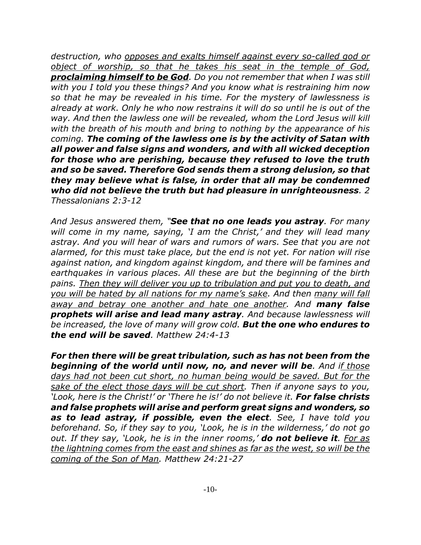*destruction, who opposes and exalts himself against every so-called god or object of worship, so that he takes his seat in the temple of God, proclaiming himself to be God. Do you not remember that when I was still with you I told you these things? And you know what is restraining him now so that he may be revealed in his time. For the mystery of lawlessness is already at work. Only he who now restrains it will do so until he is out of the way. And then the lawless one will be revealed, whom the Lord Jesus will kill with the breath of his mouth and bring to nothing by the appearance of his coming. The coming of the lawless one is by the activity of Satan with all power and false signs and wonders, and with all wicked deception for those who are perishing, because they refused to love the truth and so be saved. Therefore God sends them a strong delusion, so that they may believe what is false, in order that all may be condemned who did not believe the truth but had pleasure in unrighteousness. 2 Thessalonians 2:3-12*

*And Jesus answered them, "See that no one leads you astray. For many will come in my name, saying, 'I am the Christ,' and they will lead many astray. And you will hear of wars and rumors of wars. See that you are not alarmed, for this must take place, but the end is not yet. For nation will rise against nation, and kingdom against kingdom, and there will be famines and earthquakes in various places. All these are but the beginning of the birth pains. Then they will deliver you up to tribulation and put you to death, and you will be hated by all nations for my name's sake. And then many will fall away and betray one another and hate one another. And many false prophets will arise and lead many astray. And because lawlessness will be increased, the love of many will grow cold. But the one who endures to the end will be saved. Matthew 24:4-13*

*For then there will be great tribulation, such as has not been from the beginning of the world until now, no, and never will be. And if those days had not been cut short, no human being would be saved. But for the sake of the elect those days will be cut short. Then if anyone says to you, 'Look, here is the Christ!' or 'There he is!' do not believe it. For false christs and false prophets will arise and perform great signs and wonders, so as to lead astray, if possible, even the elect. See, I have told you beforehand. So, if they say to you, 'Look, he is in the wilderness,' do not go out. If they say, 'Look, he is in the inner rooms,' do not believe it. For as the lightning comes from the east and shines as far as the west, so will be the coming of the Son of Man. Matthew 24:21-27*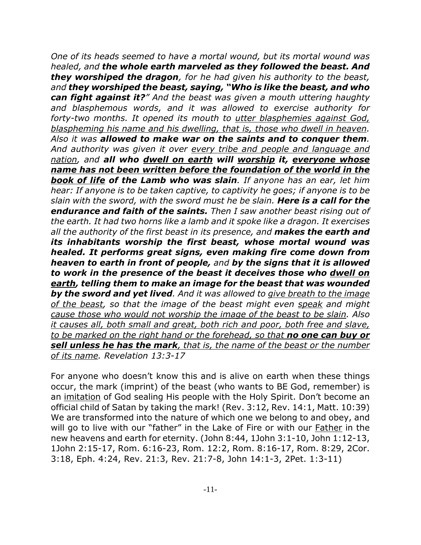*One of its heads seemed to have a mortal wound, but its mortal wound was healed, and the whole earth marveled as they followed the beast. And they worshiped the dragon, for he had given his authority to the beast, and they worshiped the beast, saying, "Who is like the beast, and who can fight against it?" And the beast was given a mouth uttering haughty and blasphemous words, and it was allowed to exercise authority for forty-two months. It opened its mouth to utter blasphemies against God, blaspheming his name and his dwelling, that is, those who dwell in heaven. Also it was allowed to make war on the saints and to conquer them. And authority was given it over every tribe and people and language and nation, and all who dwell on earth will worship it, everyone whose name has not been written before the foundation of the world in the book of life of the Lamb who was slain. If anyone has an ear, let him hear: If anyone is to be taken captive, to captivity he goes; if anyone is to be slain with the sword, with the sword must he be slain. Here is a call for the endurance and faith of the saints. Then I saw another beast rising out of the earth. It had two horns like a lamb and it spoke like a dragon. It exercises all the authority of the first beast in its presence, and makes the earth and its inhabitants worship the first beast, whose mortal wound was healed. It performs great signs, even making fire come down from heaven to earth in front of people, and by the signs that it is allowed to work in the presence of the beast it deceives those who dwell on earth, telling them to make an image for the beast that was wounded by the sword and yet lived. And it was allowed to give breath to the image of the beast, so that the image of the beast might even speak and might cause those who would not worship the image of the beast to be slain. Also it causes all, both small and great, both rich and poor, both free and slave, to be marked on the right hand or the forehead, so that no one can buy or sell unless he has the mark, that is, the name of the beast or the number of its name. Revelation 13:3-17* 

For anyone who doesn't know this and is alive on earth when these things occur, the mark (imprint) of the beast (who wants to BE God, remember) is an imitation of God sealing His people with the Holy Spirit. Don't become an official child of Satan by taking the mark! (Rev. 3:12, Rev. 14:1, Matt. 10:39) We are transformed into the nature of which one we belong to and obey, and will go to live with our "father" in the Lake of Fire or with our **Father** in the new heavens and earth for eternity. (John 8:44, 1John 3:1-10, John 1:12-13, 1John 2:15-17, Rom. 6:16-23, Rom. 12:2, Rom. 8:16-17, Rom. 8:29, 2Cor. 3:18, Eph. 4:24, Rev. 21:3, Rev. 21:7-8, John 14:1-3, 2Pet. 1:3-11)